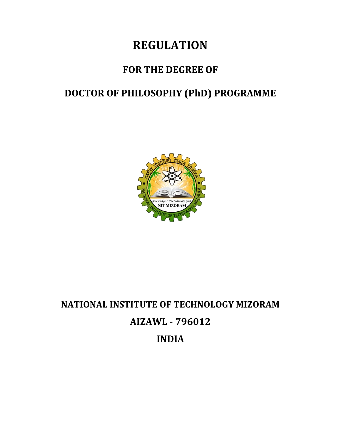# **REGULATION**

## **FOR THE DEGREE OF**

# **DOCTOR OF PHILOSOPHY (PhD) PROGRAMME**



# **NATIONAL INSTITUTE OF TECHNOLOGY MIZORAM AIZAWL - 796012 INDIA**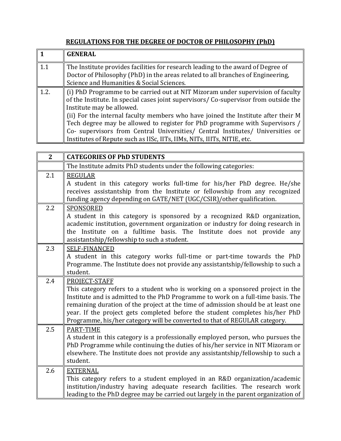#### **REGULATIONS FOR THE DEGREE OF DOCTOR OF PHILOSOPHY (PhD)**

|             | <b>GENERAL</b>                                                                                                                                                                                                                                                                                        |
|-------------|-------------------------------------------------------------------------------------------------------------------------------------------------------------------------------------------------------------------------------------------------------------------------------------------------------|
| $\vert$ 1.1 | The Institute provides facilities for research leading to the award of Degree of<br>Doctor of Philosophy (PhD) in the areas related to all branches of Engineering,                                                                                                                                   |
|             | Science and Humanities & Social Sciences.                                                                                                                                                                                                                                                             |
| 1.2.        | $\parallel$ (i) PhD Programme to be carried out at NIT Mizoram under supervision of faculty<br>of the Institute. In special cases joint supervisors/ Co-supervisor from outside the<br>Institute may be allowed.<br>(ii) For the internal faculty members who have joined the Institute after their M |
|             | Tech degree may be allowed to register for PhD programme with Supervisors /<br>Co- supervisors from Central Universities/ Central Institutes/ Universities or<br>Institutes of Repute such as IISc, IITs, IIMs, NITs, IIITs, NITIE, etc.                                                              |

| $\overline{2}$ | <b>CATEGORIES OF PhD STUDENTS</b>                                                                                                                                                                                                                                                                                                                                                                                                      |
|----------------|----------------------------------------------------------------------------------------------------------------------------------------------------------------------------------------------------------------------------------------------------------------------------------------------------------------------------------------------------------------------------------------------------------------------------------------|
|                | The Institute admits PhD students under the following categories:                                                                                                                                                                                                                                                                                                                                                                      |
| 2.1            | <b>REGULAR</b><br>A student in this category works full-time for his/her PhD degree. He/she<br>receives assistantship from the Institute or fellowship from any recognized<br>funding agency depending on GATE/NET (UGC/CSIR)/other qualification.                                                                                                                                                                                     |
| 2.2            | <b>SPONSORED</b><br>A student in this category is sponsored by a recognized R&D organization,<br>academic institution, government organization or industry for doing research in<br>on a fulltime basis. The Institute does not provide any<br>the Institute<br>assistantship/fellowship to such a student.                                                                                                                            |
| 2.3            | <b>SELF-FINANCED</b><br>A student in this category works full-time or part-time towards the PhD<br>Programme. The Institute does not provide any assistantship/fellowship to such a<br>student.                                                                                                                                                                                                                                        |
| 2.4            | PROJECT-STAFF<br>This category refers to a student who is working on a sponsored project in the<br>Institute and is admitted to the PhD Programme to work on a full-time basis. The<br>remaining duration of the project at the time of admission should be at least one<br>year. If the project gets completed before the student completes his/her PhD<br>Programme, his/her category will be converted to that of REGULAR category. |
| 2.5            | PART-TIME<br>A student in this category is a professionally employed person, who pursues the<br>PhD Programme while continuing the duties of his/her service in NIT Mizoram or<br>elsewhere. The Institute does not provide any assistantship/fellowship to such a<br>student.                                                                                                                                                         |
| 2.6            | <b>EXTERNAL</b><br>This category refers to a student employed in an R&D organization/academic<br>institution/industry having adequate research facilities. The research work<br>leading to the PhD degree may be carried out largely in the parent organization of                                                                                                                                                                     |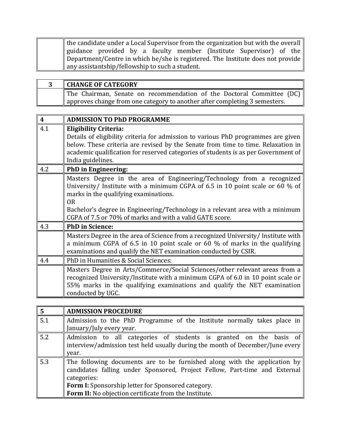| the candidate under a Local Supervisor from the organization but with the overall |
|-----------------------------------------------------------------------------------|
| guidance provided by a faculty member (Institute Supervisor) of the               |
| Department/Centre in which he/she is registered. The Institute does not provide   |
| $\parallel$ any assistantship/fellowship to such a student.                       |

| <b>CHANGE OF CATEGORY</b>                                                  |
|----------------------------------------------------------------------------|
| The Chairman, Senate on recommendation of the Doctoral Committee (DC)      |
| approves change from one category to another after completing 3 semesters. |

| 4   | <b>ADMISSION TO PhD PROGRAMME</b>                                                                                                                                                                                                                                                                                                                               |
|-----|-----------------------------------------------------------------------------------------------------------------------------------------------------------------------------------------------------------------------------------------------------------------------------------------------------------------------------------------------------------------|
| 4.1 | <b>Eligibility Criteria:</b><br>Details of eligibility criteria for admission to various PhD programmes are given<br>below. These criteria are revised by the Senate from time to time. Relaxation in<br>academic qualification for reserved categories of students is as per Government of<br>India guidelines.                                                |
| 4.2 | <b>PhD</b> in Engineering:                                                                                                                                                                                                                                                                                                                                      |
|     | Masters Degree in the area of Engineering/Technology from a recognized<br>University/ Institute with a minimum CGPA of 6.5 in 10 point scale or 60 % of<br>marks in the qualifying examinations.<br>0 <sub>R</sub><br>Bachelor's degree in Engineering/Technology in a relevant area with a minimum<br>CGPA of 7.5 or 70% of marks and with a valid GATE score. |
| 4.3 | <b>PhD</b> in Science:                                                                                                                                                                                                                                                                                                                                          |
|     | Masters Degree in the area of Science from a recognized University/ Institute with<br>a minimum CGPA of 6.5 in 10 point scale or 60 $\%$ of marks in the qualifying<br>examinations and qualify the NET examination conducted by CSIR.                                                                                                                          |
| 4.4 | PhD in Humanities & Social Sciences:                                                                                                                                                                                                                                                                                                                            |
|     | Masters Degree in Arts/Commerce/Social Sciences/other relevant areas from a<br>recognized University/Institute with a minimum CGPA of 6.0 in 10 point scale or<br>55% marks in the qualifying examinations and qualify the NET examination<br>conducted by UGC.                                                                                                 |

| $\overline{5}$ | <b>ADMISSION PROCEDURE</b>                                                    |
|----------------|-------------------------------------------------------------------------------|
| 5.1            | Admission to the PhD Programme of the Institute normally takes place in       |
|                | January/July every year.                                                      |
| 5.2            | Admission to all categories of students is granted on the basis of            |
|                | interview/admission test held usually during the month of December/June every |
|                | year.                                                                         |
| 5.3            | The following documents are to be furnished along with the application by     |
|                | candidates falling under Sponsored, Project Fellow, Part-time and External    |
|                | categories:                                                                   |
|                | Form I: Sponsorship letter for Sponsored category.                            |
|                | Form II: No objection certificate from the Institute.                         |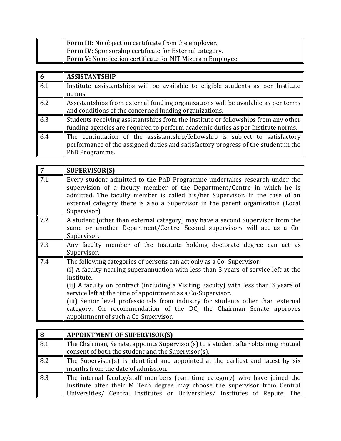| <b>Form III:</b> No objection certificate from the employer.      |
|-------------------------------------------------------------------|
| <b>Form IV:</b> Sponsorship certificate for External category.    |
| <b>Form V:</b> No objection certificate for NIT Mizoram Employee. |

| $6\phantom{1}6$ | <b>ASSISTANTSHIP</b>                                                               |
|-----------------|------------------------------------------------------------------------------------|
| 6.1             | Institute assistantships will be available to eligible students as per Institute   |
|                 | norms.                                                                             |
| 6.2             | Assistantships from external funding organizations will be available as per terms  |
|                 | and conditions of the concerned funding organizations.                             |
| 6.3             | Students receiving assistantships from the Institute or fellowships from any other |
|                 | funding agencies are required to perform academic duties as per Institute norms.   |
| 6.4             | The continuation of the assistantship/fellowship is subject to satisfactory        |
|                 | performance of the assigned duties and satisfactory progress of the student in the |
|                 | PhD Programme.                                                                     |

| 7   | <b>SUPERVISOR(S)</b>                                                                                                                                                                                                                                                                                                                                                                                                                                                                                                             |
|-----|----------------------------------------------------------------------------------------------------------------------------------------------------------------------------------------------------------------------------------------------------------------------------------------------------------------------------------------------------------------------------------------------------------------------------------------------------------------------------------------------------------------------------------|
| 7.1 | Every student admitted to the PhD Programme undertakes research under the<br>supervision of a faculty member of the Department/Centre in which he is<br>admitted. The faculty member is called his/her Supervisor. In the case of an<br>external category there is also a Supervisor in the parent organization (Local<br>Supervisor).                                                                                                                                                                                           |
| 7.2 | A student (other than external category) may have a second Supervisor from the<br>same or another Department/Centre. Second supervisors will act as a Co-<br>Supervisor.                                                                                                                                                                                                                                                                                                                                                         |
| 7.3 | Any faculty member of the Institute holding doctorate degree can act as<br>Supervisor.                                                                                                                                                                                                                                                                                                                                                                                                                                           |
| 7.4 | The following categories of persons can act only as a Co-Supervisor:<br>(i) A faculty nearing superannuation with less than 3 years of service left at the<br>Institute.<br>(ii) A faculty on contract (including a Visiting Faculty) with less than 3 years of<br>service left at the time of appointment as a Co-Supervisor.<br>(iii) Senior level professionals from industry for students other than external<br>category. On recommendation of the DC, the Chairman Senate approves<br>appointment of such a Co-Supervisor. |

| 8   | <b>APPOINTMENT OF SUPERVISOR(S)</b>                                                                                                    |
|-----|----------------------------------------------------------------------------------------------------------------------------------------|
| 8.1 | The Chairman, Senate, appoints Supervisor(s) to a student after obtaining mutual<br>consent of both the student and the Supervisor(s). |
|     |                                                                                                                                        |
| 8.2 | The Supervisor(s) is identified and appointed at the earliest and latest by six                                                        |
|     | months from the date of admission.                                                                                                     |
| 8.3 | The internal faculty/staff members (part-time category) who have joined the                                                            |
|     | Institute after their M Tech degree may choose the supervisor from Central                                                             |
|     | Universities/ Central Institutes or Universities/ Institutes of Repute. The                                                            |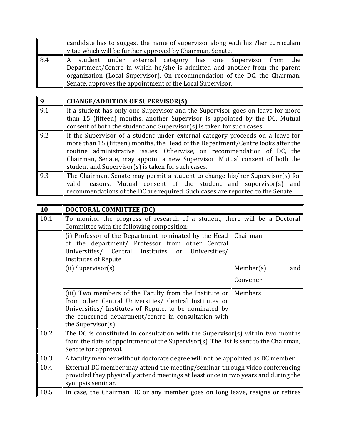|     | candidate has to suggest the name of supervisor along with his /her curriculam |
|-----|--------------------------------------------------------------------------------|
|     | vitae which will be further approved by Chairman, Senate.                      |
| 8.4 | A student under external category has one Supervisor from the                  |
|     | Department/Centre in which he/she is admitted and another from the parent      |
|     | organization (Local Supervisor). On recommendation of the DC, the Chairman,    |
|     | Senate, approves the appointment of the Local Supervisor.                      |

| $\overline{9}$ | <b>CHANGE/ADDITION OF SUPERVISOR(S)</b>                                                                                                                                                                                                                                                                                                                                          |
|----------------|----------------------------------------------------------------------------------------------------------------------------------------------------------------------------------------------------------------------------------------------------------------------------------------------------------------------------------------------------------------------------------|
| 9.1            | If a student has only one Supervisor and the Supervisor goes on leave for more<br>than 15 (fifteen) months, another Supervisor is appointed by the DC. Mutual<br>consent of both the student and Supervisor(s) is taken for such cases.                                                                                                                                          |
| 9.2            | If the Supervisor of a student under external category proceeds on a leave for<br>more than 15 (fifteen) months, the Head of the Department/Centre looks after the<br>routine administrative issues. Otherwise, on recommendation of DC, the<br>Chairman, Senate, may appoint a new Supervisor. Mutual consent of both the<br>student and Supervisor(s) is taken for such cases. |
| 9.3            | The Chairman, Senate may permit a student to change his/her Supervisor(s) for<br>reasons. Mutual consent of the student and supervisor(s)<br>valid<br>and<br>recommendations of the DC are required. Such cases are reported to the Senate.                                                                                                                                      |

| 10   | DOCTORAL COMMITTEE (DC)                                                                                                                                                                                                                                                     |                              |  |  |  |  |  |  |
|------|-----------------------------------------------------------------------------------------------------------------------------------------------------------------------------------------------------------------------------------------------------------------------------|------------------------------|--|--|--|--|--|--|
| 10.1 | To monitor the progress of research of a student, there will be a Doctoral<br>Committee with the following composition:                                                                                                                                                     |                              |  |  |  |  |  |  |
|      | (i) Professor of the Department nominated by the Head $\parallel$<br>of the department/ Professor from other Central<br>Universities/ Central Institutes<br>Universities/<br>or<br><b>Institutes of Repute</b>                                                              | Chairman                     |  |  |  |  |  |  |
|      | (ii) Supervisor(s)                                                                                                                                                                                                                                                          | Member(s)<br>and<br>Convener |  |  |  |  |  |  |
|      | (iii) Two members of the Faculty from the Institute or $\parallel$ Members<br>from other Central Universities/ Central Institutes or<br>Universities/ Institutes of Repute, to be nominated by<br>the concerned department/centre in consultation with<br>the Supervisor(s) |                              |  |  |  |  |  |  |
| 10.2 | The DC is constituted in consultation with the Supervisor(s) within two months<br>from the date of appointment of the Supervisor(s). The list is sent to the Chairman,<br>Senate for approval.                                                                              |                              |  |  |  |  |  |  |
| 10.3 | A faculty member without doctorate degree will not be appointed as DC member.                                                                                                                                                                                               |                              |  |  |  |  |  |  |
| 10.4 | External DC member may attend the meeting/seminar through video conferencing<br>provided they physically attend meetings at least once in two years and during the<br>synopsis seminar.                                                                                     |                              |  |  |  |  |  |  |
| 10.5 | In case, the Chairman DC or any member goes on long leave, resigns or retires                                                                                                                                                                                               |                              |  |  |  |  |  |  |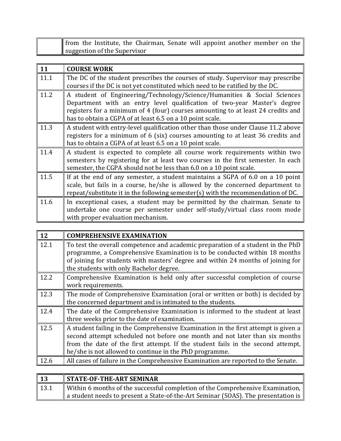| $\parallel$ from the Institute, the Chairman, Senate will appoint another member on the |  |  |  |  |
|-----------------------------------------------------------------------------------------|--|--|--|--|
| suggestion of the Supervisor                                                            |  |  |  |  |

| 11   | <b>COURSE WORK</b>                                                                |
|------|-----------------------------------------------------------------------------------|
| 11.1 | The DC of the student prescribes the courses of study. Supervisor may prescribe   |
|      | courses if the DC is not yet constituted which need to be ratified by the DC.     |
| 11.2 | A student of Engineering/Technology/Science/Humanities & Social Sciences          |
|      | Department with an entry level qualification of two-year Master's degree          |
|      | registers for a minimum of 4 (four) courses amounting to at least 24 credits and  |
|      | has to obtain a CGPA of at least 6.5 on a 10 point scale.                         |
| 11.3 | A student with entry-level qualification other than those under Clause 11.2 above |
|      | registers for a minimum of 6 (six) courses amounting to at least 36 credits and   |
|      | has to obtain a CGPA of at least 6.5 on a 10 point scale.                         |
| 11.4 | A student is expected to complete all course work requirements within two         |
|      | semesters by registering for at least two courses in the first semester. In each  |
|      | semester, the CGPA should not be less than 6.0 on a 10 point scale.               |
| 11.5 | If at the end of any semester, a student maintains a SGPA of 6.0 on a 10 point    |
|      | scale, but fails in a course, he/she is allowed by the concerned department to    |
|      | repeat/substitute it in the following semester(s) with the recommendation of DC.  |
| 11.6 | In exceptional cases, a student may be permitted by the chairman. Senate to       |
|      | undertake one course per semester under self-study/virtual class room mode        |
|      | with proper evaluation mechanism.                                                 |

| $\parallel$ 12 | <b>COMPREHENSIVE EXAMINATION</b>                                                                                                                                                                                                                                                                                |
|----------------|-----------------------------------------------------------------------------------------------------------------------------------------------------------------------------------------------------------------------------------------------------------------------------------------------------------------|
| 12.1           | To test the overall competence and academic preparation of a student in the PhD<br>programme, a Comprehensive Examination is to be conducted within 18 months<br>of joining for students with masters' degree and within 24 months of joining for<br>the students with only Bachelor degree.                    |
| 12.2           | Comprehensive Examination is held only after successful completion of course<br>work requirements.                                                                                                                                                                                                              |
| 12.3           | The mode of Comprehensive Examination (oral or written or both) is decided by<br>the concerned department and is intimated to the students.                                                                                                                                                                     |
| 12.4           | The date of the Comprehensive Examination is informed to the student at least<br>three weeks prior to the date of examination.                                                                                                                                                                                  |
| 12.5           | A student failing in the Comprehensive Examination in the first attempt is given a<br>second attempt scheduled not before one month and not later than six months<br>from the date of the first attempt. If the student fails in the second attempt,<br>he/she is not allowed to continue in the PhD programme. |
| 12.6           | All cases of failure in the Comprehensive Examination are reported to the Senate.                                                                                                                                                                                                                               |
|                |                                                                                                                                                                                                                                                                                                                 |

| $\vert$ 13 | <b>STATE-OF-THE-ART SEMINAR</b>                                                               |
|------------|-----------------------------------------------------------------------------------------------|
| 13.1       | Within 6 months of the successful completion of the Comprehensive Examination, $\parallel$    |
|            | $\parallel$ a student needs to present a State-of-the-Art Seminar (SOAS). The presentation is |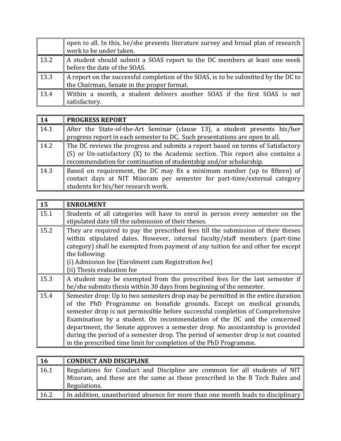|                  | open to all. In this, he/she presents literature survey and broad plan of research<br>work to be under taken. |
|------------------|---------------------------------------------------------------------------------------------------------------|
| $\parallel$ 13.2 | A student should submit a SOAS report to the DC members at least one week<br>before the date of the SOAS.     |
|                  |                                                                                                               |
| $\parallel$ 13.3 | $\parallel$ A report on the successful completion of the SOAS, is to be submitted by the DC to $\parallel$    |
|                  | the Chairman, Senate in the proper format.                                                                    |
| $\vert$ 13.4     | Within a month, a student delivers another SOAS if the first SOAS is not                                      |
|                  | satisfactory.                                                                                                 |

| $\parallel$ 14 | <b>PROGRESS REPORT</b>                                                                                                                                                                                                                          |
|----------------|-------------------------------------------------------------------------------------------------------------------------------------------------------------------------------------------------------------------------------------------------|
| $\sqrt{14.1}$  | After the State-of-the-Art Seminar (clause 13), a student presents his/her<br>progress report in each semester to DC. Such presentations are open to all.                                                                                       |
| 14.2           | The DC reviews the progress and submits a report based on terms of Satisfactory<br>$\mid$ (S) or Un-satisfactory (X) to the Academic section. This report also contains a<br>recommendation for continuation of studentship and/or scholarship. |
| $\vert$ 14.3   | Based on requirement, the DC may fix a minimum number (up to fifteen) of<br>contact days at NIT Mizoram per semester for part-time/external category<br>students for his/her research work.                                                     |

| 15   | <b>ENROLMENT</b>                                                                                                                                                                                                                                                                                                                                                                                                                                                                                                                                               |
|------|----------------------------------------------------------------------------------------------------------------------------------------------------------------------------------------------------------------------------------------------------------------------------------------------------------------------------------------------------------------------------------------------------------------------------------------------------------------------------------------------------------------------------------------------------------------|
| 15.1 | Students of all categories will have to enrol in person every semester on the<br>stipulated date till the submission of their theses.                                                                                                                                                                                                                                                                                                                                                                                                                          |
| 15.2 | They are required to pay the prescribed fees till the submission of their theses<br>within stipulated dates. However, internal faculty/staff members (part-time<br>category) shall be exempted from payment of any tuition fee and other fee except<br>the following:<br>(i) Admission fee (Enrolment cum Registration fee)                                                                                                                                                                                                                                    |
|      | (ii) Thesis evaluation fee                                                                                                                                                                                                                                                                                                                                                                                                                                                                                                                                     |
| 15.3 | A student may be exempted from the prescribed fees for the last semester if<br>he/she submits thesis within 30 days from beginning of the semester.                                                                                                                                                                                                                                                                                                                                                                                                            |
| 15.4 | Semester drop: Up to two semesters drop may be permitted in the entire duration<br>of the PhD Programme on bonafide grounds. Except on medical grounds,<br>semester drop is not permissible before successful completion of Comprehensive<br>Examination by a student. On recommendation of the DC and the concerned<br>department, the Senate approves a semester drop. No assistantship is provided<br>during the period of a semester drop. The period of semester drop is not counted<br>in the prescribed time limit for completion of the PhD Programme. |

| <b>16</b> | CONDUCT AND DISCIPLINE                                                                                                                                                                                  |
|-----------|---------------------------------------------------------------------------------------------------------------------------------------------------------------------------------------------------------|
| 16.1      | Regulations for Conduct and Discipline are common for all students of NIT<br>$\parallel$ Mizoram, and these are the same as those prescribed in the B Tech Rules and $\parallel$<br><b>Regulations.</b> |
| 16.2      | In addition, unauthorized absence for more than one month leads to disciplinary                                                                                                                         |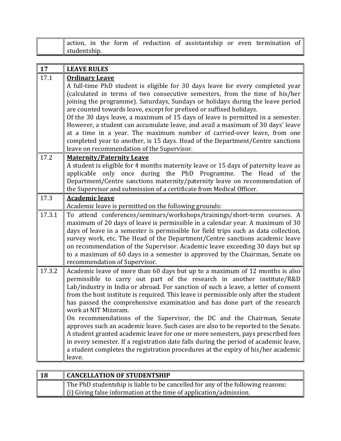|              |  |  |  | action, in the form of reduction of assistantship or even termination of $\parallel$ |  |  |
|--------------|--|--|--|--------------------------------------------------------------------------------------|--|--|
| studentship. |  |  |  |                                                                                      |  |  |

| 17     | <b>LEAVE RULES</b>                                                                                                                                                                                                                                                                                                                                                                                                                                                                                                                                                                                                                                                                                                                                                                                                                                                                    |
|--------|---------------------------------------------------------------------------------------------------------------------------------------------------------------------------------------------------------------------------------------------------------------------------------------------------------------------------------------------------------------------------------------------------------------------------------------------------------------------------------------------------------------------------------------------------------------------------------------------------------------------------------------------------------------------------------------------------------------------------------------------------------------------------------------------------------------------------------------------------------------------------------------|
| 17.1   | <b>Ordinary Leave</b><br>A full-time PhD student is eligible for 30 days leave for every completed year<br>(calculated in terms of two consecutive semesters, from the time of his/her<br>joining the programme). Saturdays, Sundays or holidays during the leave period<br>are counted towards leave, except for prefixed or suffixed holidays.<br>Of the 30 days leave, a maximum of 15 days of leave is permitted in a semester.<br>However, a student can accumulate leave, and avail a maximum of 30 days' leave<br>at a time in a year. The maximum number of carried-over leave, from one<br>completed year to another, is 15 days. Head of the Department/Centre sanctions<br>leave on recommendation of the Supervisor.                                                                                                                                                      |
| 17.2   | <b>Maternity/Paternity Leave</b><br>A student is eligible for 4 months maternity leave or 15 days of paternity leave as<br>applicable only once during the PhD Programme. The Head of the<br>Department/Centre sanctions maternity/paternity leave on recommendation of<br>the Supervisor and submission of a certificate from Medical Officer.                                                                                                                                                                                                                                                                                                                                                                                                                                                                                                                                       |
| 17.3   | <b>Academic leave</b><br>Academic leave is permitted on the following grounds:                                                                                                                                                                                                                                                                                                                                                                                                                                                                                                                                                                                                                                                                                                                                                                                                        |
| 17.3.1 | To attend conferences/seminars/workshops/trainings/short-term courses. A<br>maximum of 20 days of leave is permissible in a calendar year. A maximum of 30<br>days of leave in a semester is permissible for field trips such as data collection,<br>survey work, etc. The Head of the Department/Centre sanctions academic leave<br>on recommendation of the Supervisor. Academic leave exceeding 30 days but up<br>to a maximum of 60 days in a semester is approved by the Chairman, Senate on<br>recommendation of Supervisor.                                                                                                                                                                                                                                                                                                                                                    |
| 17.3.2 | Academic leave of more than 60 days but up to a maximum of 12 months is also<br>permissible to carry out part of the research in another institute/R&D<br>Lab/industry in India or abroad. For sanction of such a leave, a letter of consent<br>from the host institute is required. This leave is permissible only after the student<br>has passed the comprehensive examination and has done part of the research<br>work at NIT Mizoram.<br>On recommendations of the Supervisor, the DC and the Chairman, Senate<br>approves such an academic leave. Such cases are also to be reported to the Senate.<br>A student granted academic leave for one or more semesters, pays prescribed fees<br>in every semester. If a registration date falls during the period of academic leave,<br>a student completes the registration procedures at the expiry of his/her academic<br>leave. |

| 18 | <b>CANCELLATION OF STUDENTSHIP</b>                                              |
|----|---------------------------------------------------------------------------------|
|    | The PhD studentship is liable to be cancelled for any of the following reasons: |
|    | $\parallel$ (i) Giving false information at the time of application/admission.  |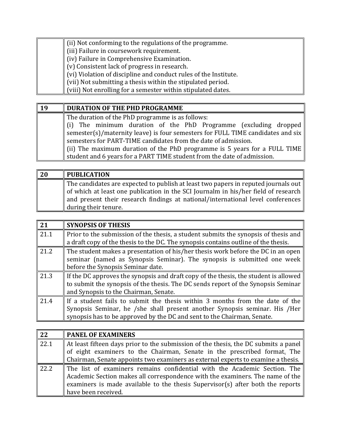| $\parallel$ (ii) Not conforming to the regulations of the programme.    |
|-------------------------------------------------------------------------|
| (iii) Failure in coursework requirement.                                |
| $\parallel$ (iv) Failure in Comprehensive Examination.                  |
| $\parallel$ (v) Consistent lack of progress in research.                |
| (vi) Violation of discipline and conduct rules of the Institute.        |
| $\parallel$ (vii) Not submitting a thesis within the stipulated period. |
| (viii) Not enrolling for a semester within stipulated dates.            |

| 19 | DURATION OF THE PHD PROGRAMME                                                         |
|----|---------------------------------------------------------------------------------------|
|    | The duration of the PhD programme is as follows:                                      |
|    | $\ $ (i) The minimum duration of the PhD Programme (excluding dropped                 |
|    | semester(s)/maternity leave) is four semesters for FULL TIME candidates and six       |
|    | semesters for PART-TIME candidates from the date of admission.                        |
|    | $\parallel$ (ii) The maximum duration of the PhD programme is 5 years for a FULL TIME |
|    | student and 6 years for a PART TIME student from the date of admission.               |

| <b>20</b> | <b>PUBLICATION</b>                                                                         |
|-----------|--------------------------------------------------------------------------------------------|
|           | The candidates are expected to publish at least two papers in reputed journals out $\vert$ |
|           | of which at least one publication in the SCI Journalm in his/her field of research         |
|           | and present their research findings at national/international level conferences            |
|           | during their tenure.                                                                       |

| 21   | <b>SYNOPSIS OF THESIS</b>                                                                                                                                                                                                             |
|------|---------------------------------------------------------------------------------------------------------------------------------------------------------------------------------------------------------------------------------------|
| 21.1 | Prior to the submission of the thesis, a student submits the synopsis of thesis and<br>a draft copy of the thesis to the DC. The synopsis contains outline of the thesis.                                                             |
| 21.2 | The student makes a presentation of his/her thesis work before the DC in an open<br>seminar (named as Synopsis Seminar). The synopsis is submitted one week<br>before the Synopsis Seminar date.                                      |
| 21.3 | If the DC approves the synopsis and draft copy of the thesis, the student is allowed<br>to submit the synopsis of the thesis. The DC sends report of the Synopsis Seminar<br>and Synopsis to the Chairman, Senate.                    |
| 21.4 | If a student fails to submit the thesis within 3 months from the date of the<br>Synopsis Seminar, he /she shall present another Synopsis seminar. His /Her<br>synopsis has to be approved by the DC and sent to the Chairman, Senate. |

| $\overline{22}$   | <b>PANEL OF EXAMINERS</b>                                                                                                                                                                                                                                           |
|-------------------|---------------------------------------------------------------------------------------------------------------------------------------------------------------------------------------------------------------------------------------------------------------------|
| $\overline{22.1}$ | At least fifteen days prior to the submission of the thesis, the DC submits a panel<br>of eight examiners to the Chairman, Senate in the prescribed format. The<br>Chairman, Senate appoints two examiners as external experts to examine a thesis.                 |
| $\sqrt{22.2}$     | The list of examiners remains confidential with the Academic Section. The<br>Academic Section makes all correspondence with the examiners. The name of the<br>examiners is made available to the thesis Supervisor(s) after both the reports<br>have been received. |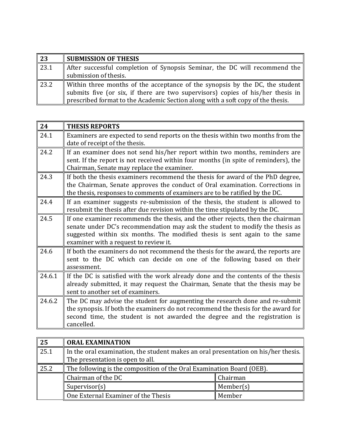| 23   | <b>SUBMISSION OF THESIS</b>                                                                                                                                     |
|------|-----------------------------------------------------------------------------------------------------------------------------------------------------------------|
| 23.1 | After successful completion of Synopsis Seminar, the DC will recommend the                                                                                      |
|      | submission of thesis.                                                                                                                                           |
| 23.2 | Within three months of the acceptance of the synopsis by the DC, the student<br>submits five (or six, if there are two supervisors) copies of his/her thesis in |
|      | prescribed format to the Academic Section along with a soft copy of the thesis.                                                                                 |

| 24     | <b>THESIS REPORTS</b>                                                                                                                                                                                                                                                                  |
|--------|----------------------------------------------------------------------------------------------------------------------------------------------------------------------------------------------------------------------------------------------------------------------------------------|
| 24.1   | Examiners are expected to send reports on the thesis within two months from the<br>date of receipt of the thesis.                                                                                                                                                                      |
| 24.2   | If an examiner does not send his/her report within two months, reminders are<br>sent. If the report is not received within four months (in spite of reminders), the<br>Chairman, Senate may replace the examiner.                                                                      |
| 24.3   | If both the thesis examiners recommend the thesis for award of the PhD degree,<br>the Chairman, Senate approves the conduct of Oral examination. Corrections in<br>the thesis, responses to comments of examiners are to be ratified by the DC.                                        |
| 24.4   | If an examiner suggests re-submission of the thesis, the student is allowed to<br>resubmit the thesis after due revision within the time stipulated by the DC.                                                                                                                         |
| 24.5   | If one examiner recommends the thesis, and the other rejects, then the chairman<br>senate under DC's recommendation may ask the student to modify the thesis as<br>suggested within six months. The modified thesis is sent again to the same<br>examiner with a request to review it. |
| 24.6   | If both the examiners do not recommend the thesis for the award, the reports are<br>sent to the DC which can decide on one of the following based on their<br>assessment.                                                                                                              |
| 24.6.1 | If the DC is satisfied with the work already done and the contents of the thesis<br>already submitted, it may request the Chairman, Senate that the thesis may be<br>sent to another set of examiners.                                                                                 |
| 24.6.2 | The DC may advise the student for augmenting the research done and re-submit<br>the synopsis. If both the examiners do not recommend the thesis for the award for<br>second time, the student is not awarded the degree and the registration is<br>cancelled.                          |

| 25   | <b>ORAL EXAMINATION</b>                                                                                                |           |
|------|------------------------------------------------------------------------------------------------------------------------|-----------|
| 25.1 | In the oral examination, the student makes an oral presentation on his/her thesis.<br>The presentation is open to all. |           |
| 25.2 | The following is the composition of the Oral Examination Board (OEB).                                                  |           |
|      | Chairman of the DC                                                                                                     | Chairman  |
|      | Supervisor(s)                                                                                                          | Member(s) |
|      | One External Examiner of the Thesis                                                                                    | Member    |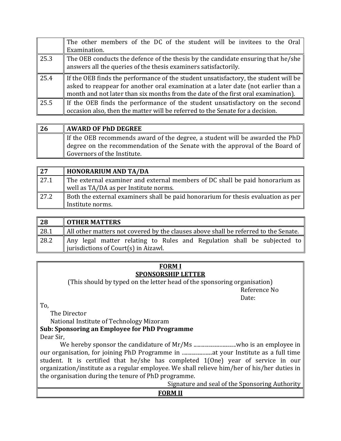|      | The other members of the DC of the student will be invitees to the Oral<br>Examination.                                                                                                                                                                                    |
|------|----------------------------------------------------------------------------------------------------------------------------------------------------------------------------------------------------------------------------------------------------------------------------|
| 25.3 | The OEB conducts the defence of the thesis by the candidate ensuring that he/she<br>answers all the queries of the thesis examiners satisfactorily.                                                                                                                        |
| 25.4 | If the OEB finds the performance of the student unsatisfactory, the student will be $\parallel$<br>asked to reappear for another oral examination at a later date (not earlier than a<br>month and not later than six months from the date of the first oral examination). |
| 25.5 | If the OEB finds the performance of the student unsatisfactory on the second<br>occasion also, then the matter will be referred to the Senate for a decision.                                                                                                              |

| <b>26</b> | <b>AWARD OF PhD DEGREE</b>                                                                           |
|-----------|------------------------------------------------------------------------------------------------------|
|           | If the OEB recommends award of the degree, a student will be awarded the PhD                         |
|           | $\parallel$ degree on the recommendation of the Senate with the approval of the Board of $\parallel$ |
|           | Governors of the Institute.                                                                          |

| 27            | <b>HONORARIUM AND TA/DA</b>                                                              |
|---------------|------------------------------------------------------------------------------------------|
| $\sqrt{27.1}$ | The external examiner and external members of DC shall be paid honorarium as             |
|               | well as TA/DA as per Institute norms.                                                    |
| $\vert$ 27.2  | <b>Both the external examiners shall be paid honorarium for thesis evaluation as per</b> |
|               | Institute norms.                                                                         |

| 28   | <b>OTHER MATTERS</b>                                                                                               |
|------|--------------------------------------------------------------------------------------------------------------------|
| 28.1 | All other matters not covered by the clauses above shall be referred to the Senate.                                |
| 28.2 | Any legal matter relating to Rules and Regulation shall be subjected to<br>   jurisdictions of Court(s) in Aizawl. |

#### **FORM I SPONSORSHIP LETTER**

(This should by typed on the letter head of the sponsoring organisation) Reference No

Date:

To,

The Director

National Institute of Technology Mizoram

#### **Sub: Sponsoring an Employee for PhD Programme**

Dear Sir,

We hereby sponsor the candidature of Mr/Ms ...............................who is an employee in our organisation, for joining PhD Programme in ......................at your Institute as a full time student. It is certified that he/she has completed 1(One) year of service in our organization/institute as a regular employee. We shall relieve him/her of his/her duties in the organisation during the tenure of PhD programme.

Signature and seal of the Sponsoring Authority

#### **FORM II**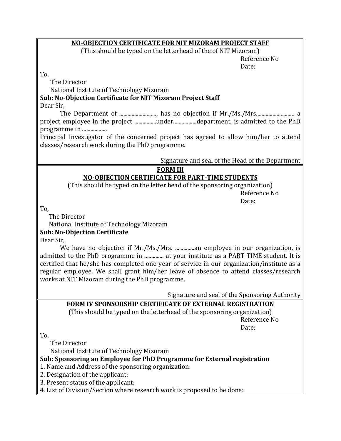#### **NO-OBJECTION CERTIFICATE FOR NIT MIZORAM PROJECT STAFF**

(This should be typed on the letterhead of the of NIT Mizoram)

Reference No Date:

To,

The Director

National Institute of Technology Mizoram

### **Sub: No-Objection Certificate for NIT Mizoram Project Staff**

Dear Sir,

The Department of ..........................., has no objection if Mr./Ms./Mrs............................ a project employee in the project ................under.................department, is admitted to the PhD programme in ..................

Principal Investigator of the concerned project has agreed to allow him/her to attend classes/research work during the PhD programme.

Signature and seal of the Head of the Department

## **FORM III**

## **NO-OBJECTION CERTIFICATE FOR PART-TIME STUDENTS**

(This should be typed on the letter head of the sponsoring organization)

Reference No Date:

To,

The Director

National Institute of Technology Mizoram

#### **Sub: No-Objection Certificate**

Dear Sir,

We have no objection if Mr./Ms./Mrs. ...............an employee in our organization, is admitted to the PhD programme in ............... at your institute as a PART-TIME student. It is certified that he/she has completed one year of service in our organization/institute as a regular employee. We shall grant him/her leave of absence to attend classes/research works at NIT Mizoram during the PhD programme.

Signature and seal of the Sponsoring Authority

#### **FORM IV SPONSORSHIP CERTIFICATE OF EXTERNAL REGISTRATION**

(This should be typed on the letterhead of the sponsoring organization)

Reference No Date:

To,

The Director

National Institute of Technology Mizoram

**Sub: Sponsoring an Employee for PhD Programme for External registration**

- 1. Name and Address of the sponsoring organization:
- 2. Designation of the applicant:
- 3. Present status of the applicant:
- 4. List of Division/Section where research work is proposed to be done: